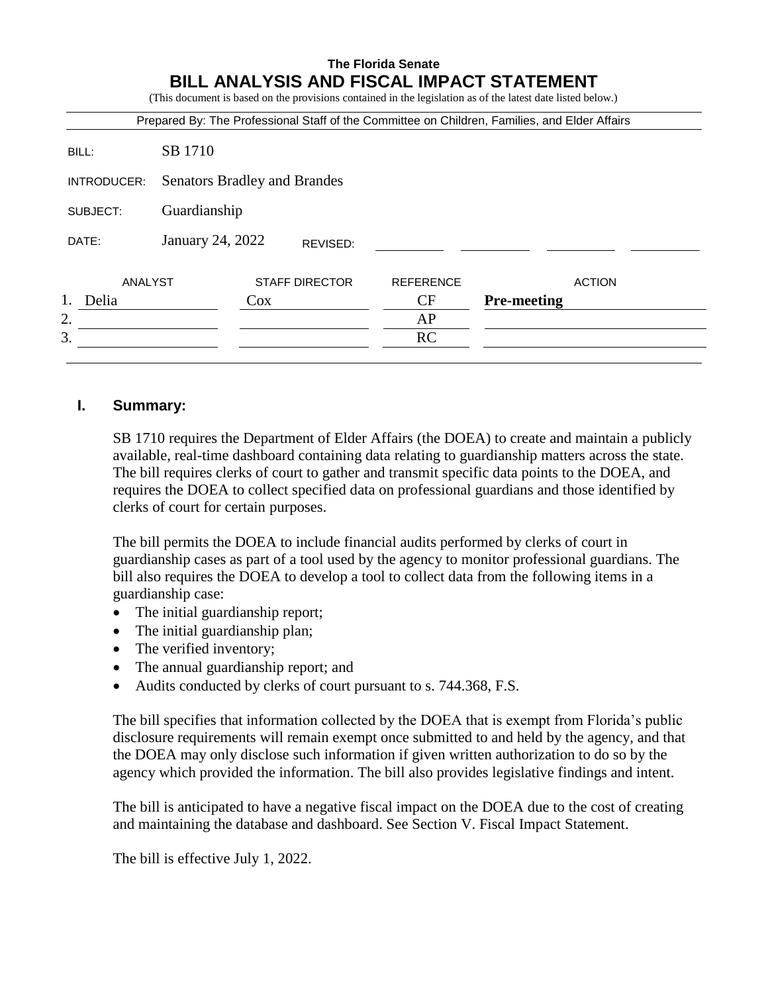# **The Florida Senate BILL ANALYSIS AND FISCAL IMPACT STATEMENT** (This document is based on the provisions contained in the legislation as of the latest date listed below.) Prepared By: The Professional Staff of the Committee on Children, Families, and Elder Affairs BILL: SB 1710 INTRODUCER: Senators Bradley and Brandes SUBJECT: Guardianship DATE: January 24, 2022 ANALYST STAFF DIRECTOR REFERENCE ACTION 1. Delia Cox Cox CF **Pre-meeting**  $2.$  AP  $3.$  RC REVISED:

## **I. Summary:**

SB 1710 requires the Department of Elder Affairs (the DOEA) to create and maintain a publicly available, real-time dashboard containing data relating to guardianship matters across the state. The bill requires clerks of court to gather and transmit specific data points to the DOEA, and requires the DOEA to collect specified data on professional guardians and those identified by clerks of court for certain purposes.

The bill permits the DOEA to include financial audits performed by clerks of court in guardianship cases as part of a tool used by the agency to monitor professional guardians. The bill also requires the DOEA to develop a tool to collect data from the following items in a guardianship case:

- The initial guardianship report;
- The initial guardianship plan;
- The verified inventory;
- The annual guardianship report; and
- Audits conducted by clerks of court pursuant to s. 744.368, F.S.

The bill specifies that information collected by the DOEA that is exempt from Florida's public disclosure requirements will remain exempt once submitted to and held by the agency, and that the DOEA may only disclose such information if given written authorization to do so by the agency which provided the information. The bill also provides legislative findings and intent.

The bill is anticipated to have a negative fiscal impact on the DOEA due to the cost of creating and maintaining the database and dashboard. See Section V. Fiscal Impact Statement.

The bill is effective July 1, 2022.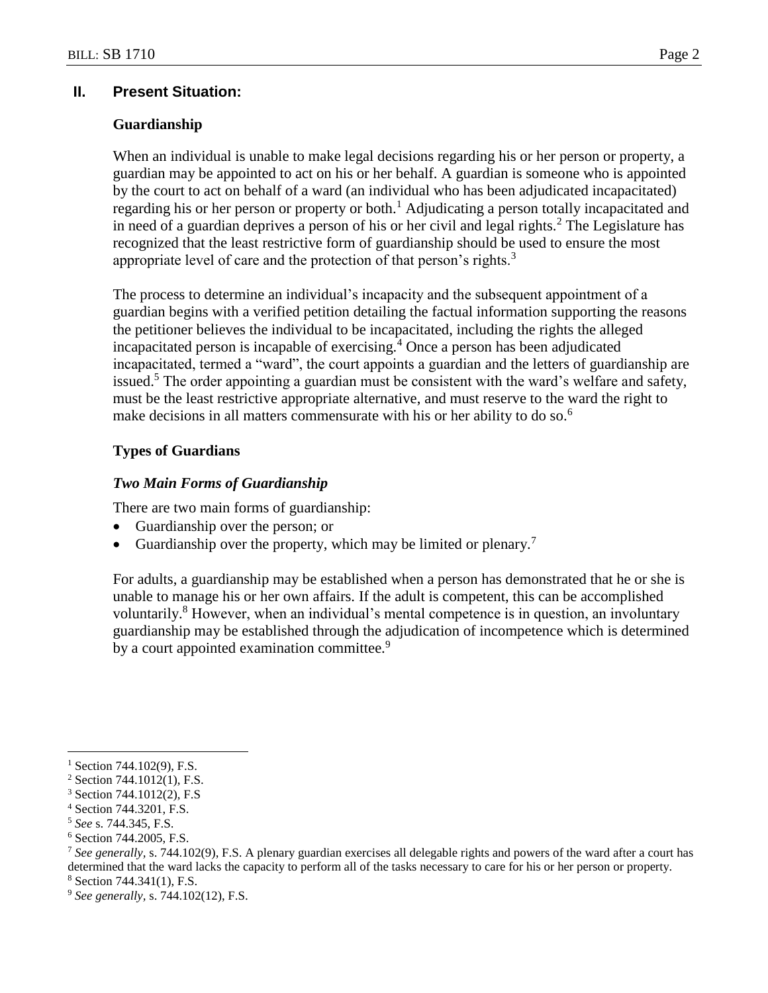#### **II. Present Situation:**

#### **Guardianship**

When an individual is unable to make legal decisions regarding his or her person or property, a guardian may be appointed to act on his or her behalf. A guardian is someone who is appointed by the court to act on behalf of a ward (an individual who has been adjudicated incapacitated) regarding his or her person or property or both.<sup>1</sup> Adjudicating a person totally incapacitated and in need of a guardian deprives a person of his or her civil and legal rights.<sup>2</sup> The Legislature has recognized that the least restrictive form of guardianship should be used to ensure the most appropriate level of care and the protection of that person's rights.<sup>3</sup>

The process to determine an individual's incapacity and the subsequent appointment of a guardian begins with a verified petition detailing the factual information supporting the reasons the petitioner believes the individual to be incapacitated, including the rights the alleged incapacitated person is incapable of exercising.<sup>4</sup> Once a person has been adjudicated incapacitated, termed a "ward", the court appoints a guardian and the letters of guardianship are issued.<sup>5</sup> The order appointing a guardian must be consistent with the ward's welfare and safety, must be the least restrictive appropriate alternative, and must reserve to the ward the right to make decisions in all matters commensurate with his or her ability to do so.<sup>6</sup>

### **Types of Guardians**

#### *Two Main Forms of Guardianship*

There are two main forms of guardianship:

- Guardianship over the person; or
- Guardianship over the property, which may be limited or plenary.<sup>7</sup>

For adults, a guardianship may be established when a person has demonstrated that he or she is unable to manage his or her own affairs. If the adult is competent, this can be accomplished voluntarily.<sup>8</sup> However, when an individual's mental competence is in question, an involuntary guardianship may be established through the adjudication of incompetence which is determined by a court appointed examination committee.<sup>9</sup>

 $1$  Section 744.102(9), F.S.

<sup>2</sup> Section 744.1012(1), F.S.

<sup>3</sup> Section 744.1012(2), F.S

<sup>4</sup> Section 744.3201, F.S.

<sup>5</sup> *See* s. 744.345, F.S.

<sup>6</sup> Section 744.2005, F.S.

<sup>7</sup> *See generally,* s. 744.102(9), F.S. A plenary guardian exercises all delegable rights and powers of the ward after a court has determined that the ward lacks the capacity to perform all of the tasks necessary to care for his or her person or property.

<sup>8</sup> Section 744.341(1), F.S.

<sup>9</sup> *See generally,* s. 744.102(12), F.S.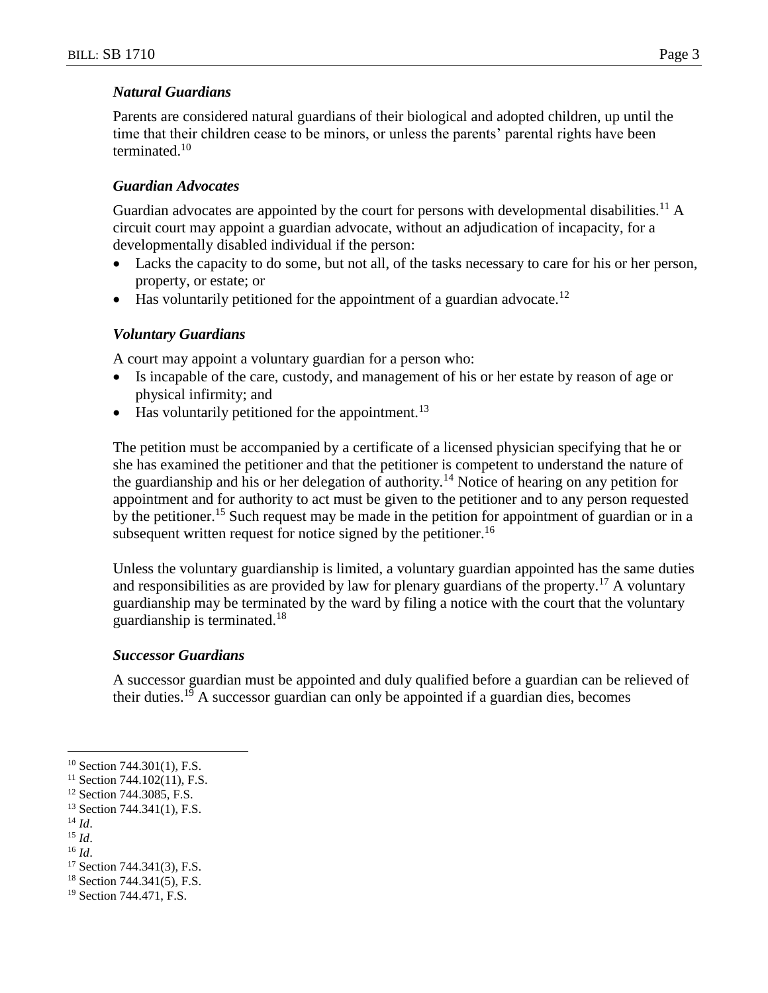#### *Natural Guardians*

Parents are considered natural guardians of their biological and adopted children, up until the time that their children cease to be minors, or unless the parents' parental rights have been terminated.<sup>10</sup>

#### *Guardian Advocates*

Guardian advocates are appointed by the court for persons with developmental disabilities.<sup>11</sup> A circuit court may appoint a guardian advocate, without an adjudication of incapacity, for a developmentally disabled individual if the person:

- Lacks the capacity to do some, but not all, of the tasks necessary to care for his or her person, property, or estate; or
- $\bullet$  Has voluntarily petitioned for the appointment of a guardian advocate.<sup>12</sup>

#### *Voluntary Guardians*

A court may appoint a voluntary guardian for a person who:

- Is incapable of the care, custody, and management of his or her estate by reason of age or physical infirmity; and
- $\bullet$  Has voluntarily petitioned for the appointment.<sup>13</sup>

The petition must be accompanied by a certificate of a licensed physician specifying that he or she has examined the petitioner and that the petitioner is competent to understand the nature of the guardianship and his or her delegation of authority.<sup>14</sup> Notice of hearing on any petition for appointment and for authority to act must be given to the petitioner and to any person requested by the petitioner.<sup>15</sup> Such request may be made in the petition for appointment of guardian or in a subsequent written request for notice signed by the petitioner.<sup>16</sup>

Unless the voluntary guardianship is limited, a voluntary guardian appointed has the same duties and responsibilities as are provided by law for plenary guardians of the property.<sup>17</sup> A voluntary guardianship may be terminated by the ward by filing a notice with the court that the voluntary guardianship is terminated.<sup>18</sup>

#### *Successor Guardians*

A successor guardian must be appointed and duly qualified before a guardian can be relieved of their duties.<sup>19</sup> A successor guardian can only be appointed if a guardian dies, becomes

 $\overline{a}$ 

<sup>15</sup> *Id*.

<sup>&</sup>lt;sup>10</sup> Section 744.301(1), F.S.

 $11$  Section 744.102(11), F.S.

<sup>&</sup>lt;sup>12</sup> Section 744.3085, F.S.

<sup>13</sup> Section 744.341(1), F.S.

<sup>14</sup> *Id*.

<sup>16</sup> *Id*.

<sup>17</sup> Section 744.341(3), F.S.

<sup>18</sup> Section 744.341(5), F.S.

<sup>19</sup> Section 744.471, F.S.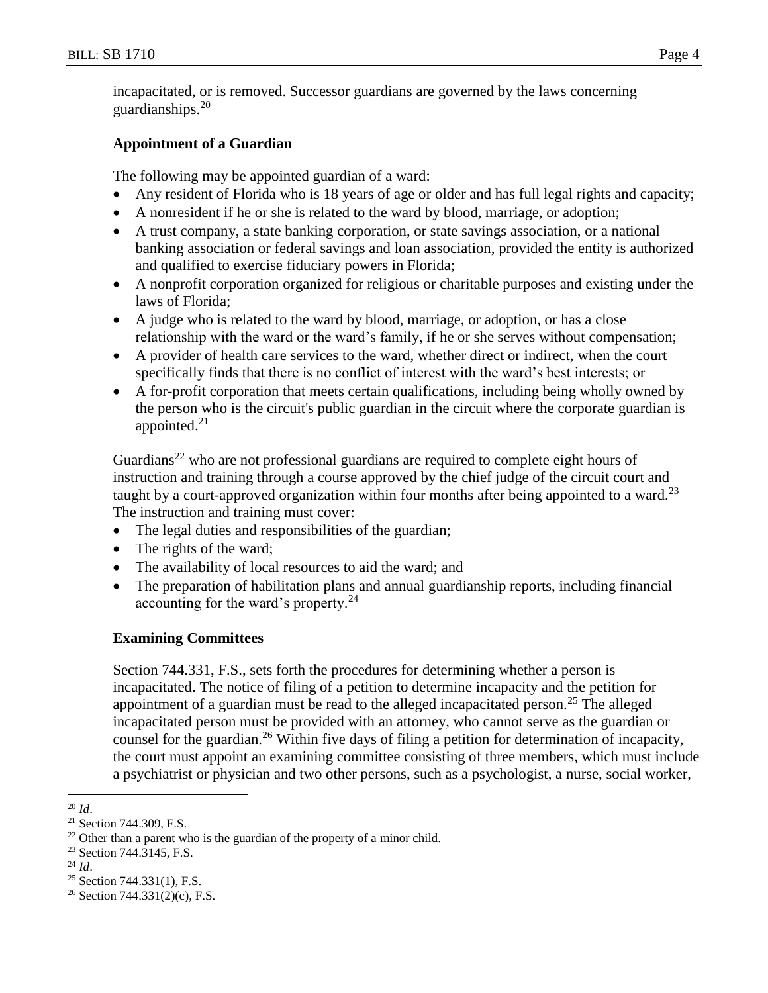incapacitated, or is removed. Successor guardians are governed by the laws concerning guardianships. $20$ 

## **Appointment of a Guardian**

The following may be appointed guardian of a ward:

- Any resident of Florida who is 18 years of age or older and has full legal rights and capacity;
- A nonresident if he or she is related to the ward by blood, marriage, or adoption;
- A trust company, a state banking corporation, or state savings association, or a national banking association or federal savings and loan association, provided the entity is authorized and qualified to exercise fiduciary powers in Florida;
- A nonprofit corporation organized for religious or charitable purposes and existing under the laws of Florida;
- A judge who is related to the ward by blood, marriage, or adoption, or has a close relationship with the ward or the ward's family, if he or she serves without compensation;
- A provider of health care services to the ward, whether direct or indirect, when the court specifically finds that there is no conflict of interest with the ward's best interests; or
- A for-profit corporation that meets certain qualifications, including being wholly owned by the person who is the circuit's public guardian in the circuit where the corporate guardian is appointed. $21$

Guardians<sup>22</sup> who are not professional guardians are required to complete eight hours of instruction and training through a course approved by the chief judge of the circuit court and taught by a court-approved organization within four months after being appointed to a ward.<sup>23</sup> The instruction and training must cover:

- The legal duties and responsibilities of the guardian;
- The rights of the ward;
- The availability of local resources to aid the ward; and
- The preparation of habilitation plans and annual guardianship reports, including financial accounting for the ward's property. $^{24}$

## **Examining Committees**

Section 744.331, F.S., sets forth the procedures for determining whether a person is incapacitated. The notice of filing of a petition to determine incapacity and the petition for appointment of a guardian must be read to the alleged incapacitated person.<sup>25</sup> The alleged incapacitated person must be provided with an attorney, who cannot serve as the guardian or counsel for the guardian.<sup>26</sup> Within five days of filing a petition for determination of incapacity, the court must appoint an examining committee consisting of three members, which must include a psychiatrist or physician and two other persons, such as a psychologist, a nurse, social worker,

 $25$  Section 744.331(1), F.S.

 $\overline{a}$ <sup>20</sup> *Id*.

<sup>21</sup> Section 744.309, F.S.

 $22$  Other than a parent who is the guardian of the property of a minor child.

<sup>&</sup>lt;sup>23</sup> Section 744.3145, F.S.

<sup>24</sup> *Id*.

<sup>&</sup>lt;sup>26</sup> Section 744.331(2)(c), F.S.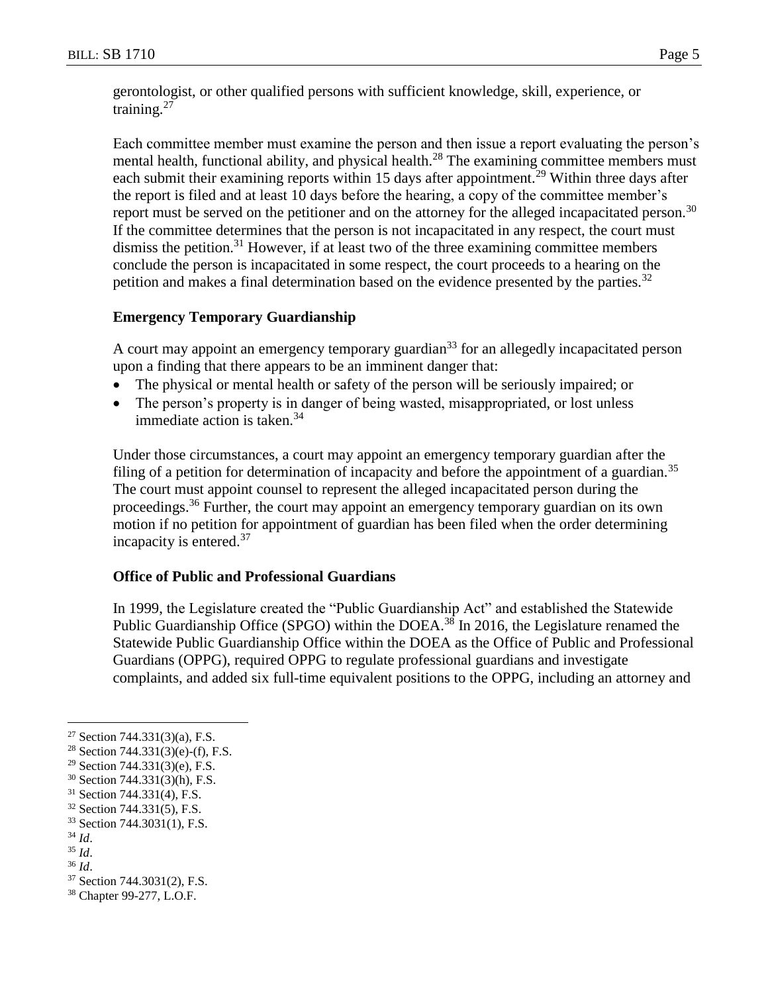gerontologist, or other qualified persons with sufficient knowledge, skill, experience, or training.<sup>27</sup>

Each committee member must examine the person and then issue a report evaluating the person's mental health, functional ability, and physical health.<sup>28</sup> The examining committee members must each submit their examining reports within 15 days after appointment.<sup>29</sup> Within three days after the report is filed and at least 10 days before the hearing, a copy of the committee member's report must be served on the petitioner and on the attorney for the alleged incapacitated person.<sup>30</sup> If the committee determines that the person is not incapacitated in any respect, the court must dismiss the petition.<sup>31</sup> However, if at least two of the three examining committee members conclude the person is incapacitated in some respect, the court proceeds to a hearing on the petition and makes a final determination based on the evidence presented by the parties.<sup>32</sup>

### **Emergency Temporary Guardianship**

A court may appoint an emergency temporary guardian<sup>33</sup> for an allegedly incapacitated person upon a finding that there appears to be an imminent danger that:

- The physical or mental health or safety of the person will be seriously impaired; or
- The person's property is in danger of being wasted, misappropriated, or lost unless immediate action is taken. $34$

Under those circumstances, a court may appoint an emergency temporary guardian after the filing of a petition for determination of incapacity and before the appointment of a guardian.<sup>35</sup> The court must appoint counsel to represent the alleged incapacitated person during the proceedings.<sup>36</sup> Further, the court may appoint an emergency temporary guardian on its own motion if no petition for appointment of guardian has been filed when the order determining incapacity is entered.<sup>37</sup>

## **Office of Public and Professional Guardians**

In 1999, the Legislature created the "Public Guardianship Act" and established the Statewide Public Guardianship Office (SPGO) within the DOEA.<sup>38</sup> In 2016, the Legislature renamed the Statewide Public Guardianship Office within the DOEA as the Office of Public and Professional Guardians (OPPG), required OPPG to regulate professional guardians and investigate complaints, and added six full-time equivalent positions to the OPPG, including an attorney and

<sup>&</sup>lt;sup>27</sup> Section 744.331(3)(a), F.S.

<sup>&</sup>lt;sup>28</sup> Section 744.331(3)(e)-(f), F.S.

<sup>29</sup> Section 744.331(3)(e), F.S.

<sup>30</sup> Section 744.331(3)(h), F.S.

<sup>31</sup> Section 744.331(4), F.S.

<sup>32</sup> Section 744.331(5), F.S.

<sup>33</sup> Section 744.3031(1), F.S.

<sup>34</sup> *Id*.

<sup>35</sup> *Id*.

<sup>36</sup> *Id*.

<sup>37</sup> Section 744.3031(2), F.S.

<sup>38</sup> Chapter 99-277, L.O.F.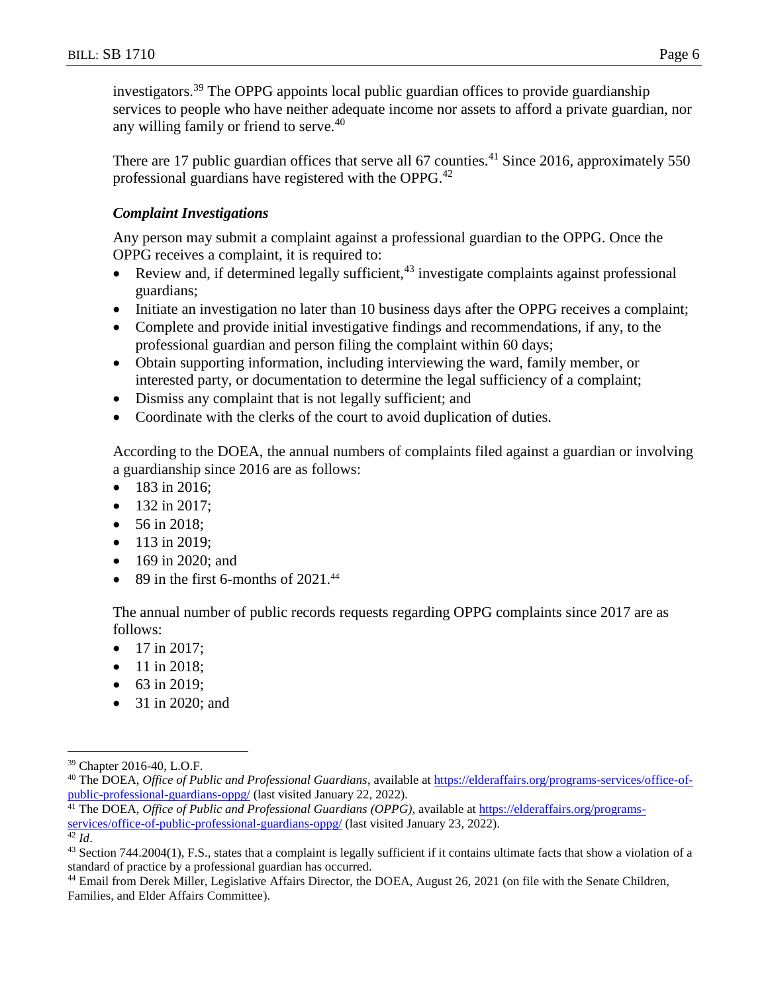investigators.<sup>39</sup> The OPPG appoints local public guardian offices to provide guardianship services to people who have neither adequate income nor assets to afford a private guardian, nor any willing family or friend to serve.<sup>40</sup>

There are 17 public guardian offices that serve all 67 counties.<sup>41</sup> Since 2016, approximately 550 professional guardians have registered with the OPPG.<sup>42</sup>

## *Complaint Investigations*

Any person may submit a complaint against a professional guardian to the OPPG. Once the OPPG receives a complaint, it is required to:

- Review and, if determined legally sufficient,  $43$  investigate complaints against professional guardians;
- Initiate an investigation no later than 10 business days after the OPPG receives a complaint;
- Complete and provide initial investigative findings and recommendations, if any, to the professional guardian and person filing the complaint within 60 days;
- Obtain supporting information, including interviewing the ward, family member, or interested party, or documentation to determine the legal sufficiency of a complaint;
- Dismiss any complaint that is not legally sufficient; and
- Coordinate with the clerks of the court to avoid duplication of duties.

According to the DOEA, the annual numbers of complaints filed against a guardian or involving a guardianship since 2016 are as follows:

- 183 in 2016;
- $\bullet$  132 in 2017:
- 56 in 2018;
- $113$  in 2019:
- 169 in 2020; and
- $\bullet$  89 in the first 6-months of 2021.<sup>44</sup>

The annual number of public records requests regarding OPPG complaints since 2017 are as follows:

- $\bullet$  17 in 2017;
- 11 in 2018;
- 63 in 2019;
- 31 in 2020; and

<sup>42</sup> *Id*.

 $\overline{a}$ <sup>39</sup> Chapter 2016-40, L.O.F.

<sup>40</sup> The DOEA, *Office of Public and Professional Guardians*, available at [https://elderaffairs.org/programs-services/office-of](https://elderaffairs.org/programs-services/office-of-public-professional-guardians-oppg/)[public-professional-guardians-oppg/](https://elderaffairs.org/programs-services/office-of-public-professional-guardians-oppg/) (last visited January 22, 2022).

<sup>41</sup> The DOEA, *Office of Public and Professional Guardians (OPPG)*, available at [https://elderaffairs.org/programs](https://elderaffairs.org/programs-services/office-of-public-professional-guardians-oppg/)[services/office-of-public-professional-guardians-oppg/](https://elderaffairs.org/programs-services/office-of-public-professional-guardians-oppg/) (last visited January 23, 2022).

<sup>43</sup> Section 744.2004(1), F.S., states that a complaint is legally sufficient if it contains ultimate facts that show a violation of a standard of practice by a professional guardian has occurred.

<sup>44</sup> Email from Derek Miller, Legislative Affairs Director, the DOEA, August 26, 2021 (on file with the Senate Children, Families, and Elder Affairs Committee).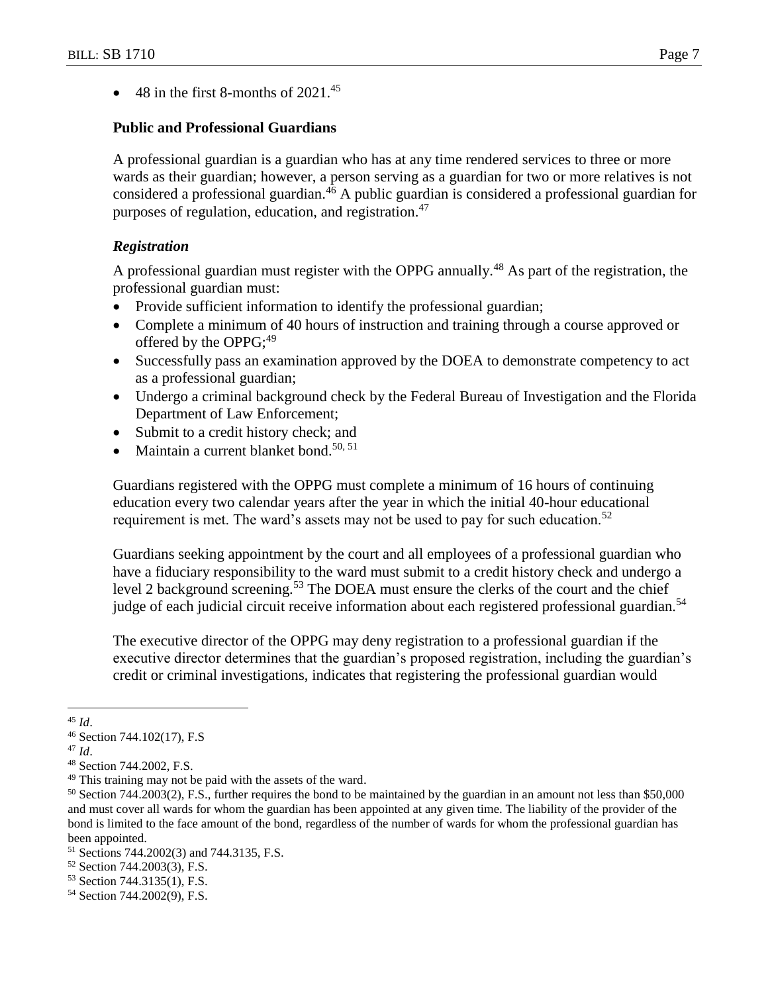$\bullet$  48 in the first 8-months of 2021.<sup>45</sup>

### **Public and Professional Guardians**

A professional guardian is a guardian who has at any time rendered services to three or more wards as their guardian; however, a person serving as a guardian for two or more relatives is not considered a professional guardian.<sup>46</sup> A public guardian is considered a professional guardian for purposes of regulation, education, and registration.<sup>47</sup>

### *Registration*

A professional guardian must register with the OPPG annually.<sup>48</sup> As part of the registration, the professional guardian must:

- Provide sufficient information to identify the professional guardian;
- Complete a minimum of 40 hours of instruction and training through a course approved or offered by the OPPG; $^{49}$
- Successfully pass an examination approved by the DOEA to demonstrate competency to act as a professional guardian;
- Undergo a criminal background check by the Federal Bureau of Investigation and the Florida Department of Law Enforcement;
- Submit to a credit history check; and
- $\bullet$  Maintain a current blanket bond.<sup>50, 51</sup>

Guardians registered with the OPPG must complete a minimum of 16 hours of continuing education every two calendar years after the year in which the initial 40-hour educational requirement is met. The ward's assets may not be used to pay for such education.<sup>52</sup>

Guardians seeking appointment by the court and all employees of a professional guardian who have a fiduciary responsibility to the ward must submit to a credit history check and undergo a level 2 background screening.<sup>53</sup> The DOEA must ensure the clerks of the court and the chief judge of each judicial circuit receive information about each registered professional guardian.<sup>54</sup>

The executive director of the OPPG may deny registration to a professional guardian if the executive director determines that the guardian's proposed registration, including the guardian's credit or criminal investigations, indicates that registering the professional guardian would

 $\overline{a}$ <sup>45</sup> *Id*.

<sup>46</sup> Section 744.102(17), F.S

<sup>47</sup> *Id*.

<sup>48</sup> Section 744.2002, F.S.

<sup>&</sup>lt;sup>49</sup> This training may not be paid with the assets of the ward.

<sup>50</sup> Section 744.2003(2), F.S., further requires the bond to be maintained by the guardian in an amount not less than \$50,000 and must cover all wards for whom the guardian has been appointed at any given time. The liability of the provider of the bond is limited to the face amount of the bond, regardless of the number of wards for whom the professional guardian has been appointed.

<sup>51</sup> Sections 744.2002(3) and 744.3135, F.S.

<sup>52</sup> Section 744.2003(3), F.S.

<sup>53</sup> Section 744.3135(1), F.S.

<sup>54</sup> Section 744.2002(9), F.S.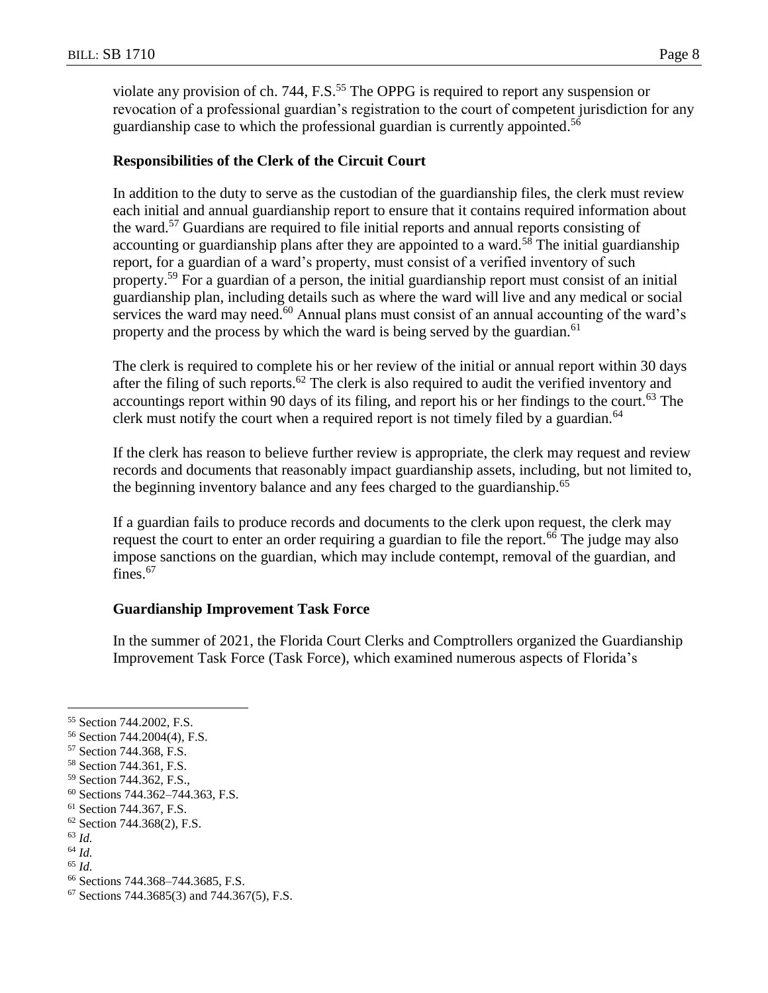violate any provision of ch. 744, F.S.<sup>55</sup> The OPPG is required to report any suspension or revocation of a professional guardian's registration to the court of competent jurisdiction for any guardianship case to which the professional guardian is currently appointed.<sup>56</sup>

### **Responsibilities of the Clerk of the Circuit Court**

In addition to the duty to serve as the custodian of the guardianship files, the clerk must review each initial and annual guardianship report to ensure that it contains required information about the ward.<sup>57</sup> Guardians are required to file initial reports and annual reports consisting of accounting or guardianship plans after they are appointed to a ward.<sup>58</sup> The initial guardianship report, for a guardian of a ward's property, must consist of a verified inventory of such property.<sup>59</sup> For a guardian of a person, the initial guardianship report must consist of an initial guardianship plan, including details such as where the ward will live and any medical or social services the ward may need. $60$  Annual plans must consist of an annual accounting of the ward's property and the process by which the ward is being served by the guardian.<sup>61</sup>

The clerk is required to complete his or her review of the initial or annual report within 30 days after the filing of such reports.<sup>62</sup> The clerk is also required to audit the verified inventory and accountings report within 90 days of its filing, and report his or her findings to the court.<sup>63</sup> The clerk must notify the court when a required report is not timely filed by a guardian.<sup>64</sup>

If the clerk has reason to believe further review is appropriate, the clerk may request and review records and documents that reasonably impact guardianship assets, including, but not limited to, the beginning inventory balance and any fees charged to the guardianship.<sup>65</sup>

If a guardian fails to produce records and documents to the clerk upon request, the clerk may request the court to enter an order requiring a guardian to file the report.<sup>66</sup> The judge may also impose sanctions on the guardian, which may include contempt, removal of the guardian, and fines.<sup>67</sup>

#### **Guardianship Improvement Task Force**

In the summer of 2021, the Florida Court Clerks and Comptrollers organized the Guardianship Improvement Task Force (Task Force), which examined numerous aspects of Florida's

<sup>55</sup> Section 744.2002, F.S.

<sup>56</sup> Section 744.2004(4), F.S.

<sup>57</sup> Section 744.368, F.S.

<sup>58</sup> Section 744.361, F.S.

<sup>59</sup> Section 744.362, F.S.,

<sup>60</sup> Sections 744.362–744.363, F.S.

<sup>61</sup> Section 744.367, F.S.

 $62$  Section 744.368(2), F.S.

<sup>63</sup> *Id.*

<sup>64</sup> *Id.*

<sup>65</sup> *Id.*

<sup>66</sup> Sections 744.368–744.3685, F.S.

 $67$  Sections 744.3685(3) and 744.367(5), F.S.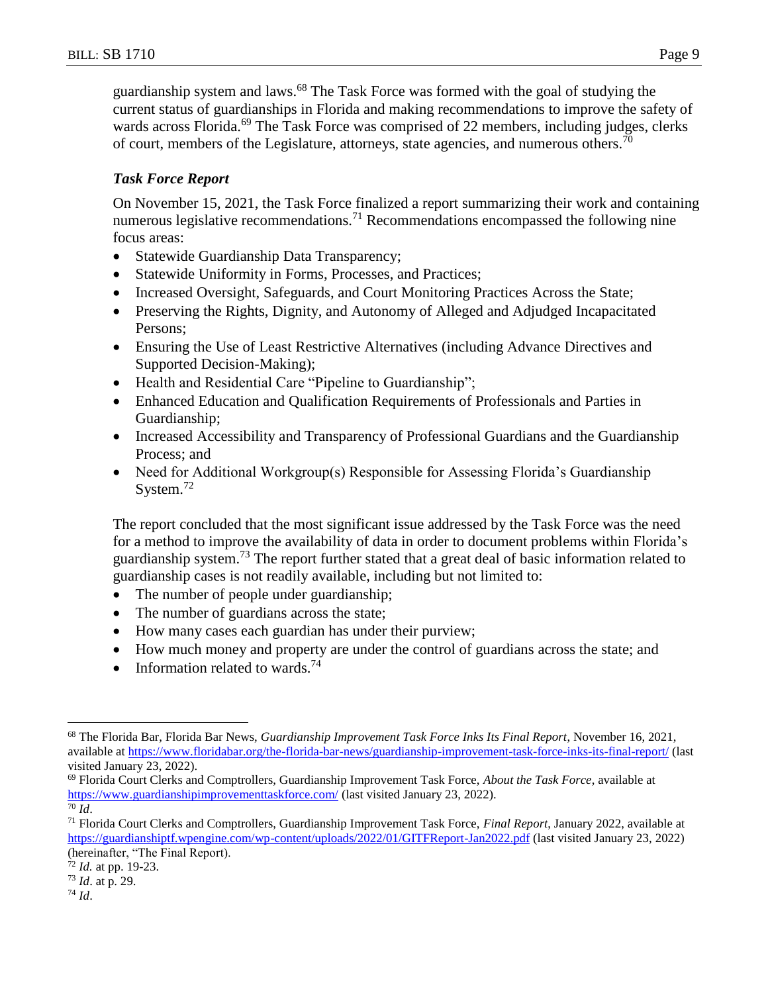guardianship system and laws.<sup>68</sup> The Task Force was formed with the goal of studying the current status of guardianships in Florida and making recommendations to improve the safety of wards across Florida.<sup>69</sup> The Task Force was comprised of 22 members, including judges, clerks of court, members of the Legislature, attorneys, state agencies, and numerous others.<sup>70</sup>

## *Task Force Report*

On November 15, 2021, the Task Force finalized a report summarizing their work and containing numerous legislative recommendations.<sup>71</sup> Recommendations encompassed the following nine focus areas:

- Statewide Guardianship Data Transparency;
- Statewide Uniformity in Forms, Processes, and Practices;
- Increased Oversight, Safeguards, and Court Monitoring Practices Across the State;
- Preserving the Rights, Dignity, and Autonomy of Alleged and Adjudged Incapacitated Persons;
- Ensuring the Use of Least Restrictive Alternatives (including Advance Directives and Supported Decision-Making);
- Health and Residential Care "Pipeline to Guardianship";
- Enhanced Education and Qualification Requirements of Professionals and Parties in Guardianship;
- Increased Accessibility and Transparency of Professional Guardians and the Guardianship Process; and
- Need for Additional Workgroup(s) Responsible for Assessing Florida's Guardianship System. $^{72}$

The report concluded that the most significant issue addressed by the Task Force was the need for a method to improve the availability of data in order to document problems within Florida's guardianship system.<sup>73</sup> The report further stated that a great deal of basic information related to guardianship cases is not readily available, including but not limited to:

- The number of people under guardianship;
- The number of guardians across the state;
- How many cases each guardian has under their purview;
- How much money and property are under the control of guardians across the state; and
- Information related to wards.<sup>74</sup>

<sup>69</sup> Florida Court Clerks and Comptrollers, Guardianship Improvement Task Force, *About the Task Force*, available at <https://www.guardianshipimprovementtaskforce.com/> (last visited January 23, 2022).

<sup>68</sup> The Florida Bar, Florida Bar News, *Guardianship Improvement Task Force Inks Its Final Report*, November 16, 2021, available at<https://www.floridabar.org/the-florida-bar-news/guardianship-improvement-task-force-inks-its-final-report/> (last visited January 23, 2022).

<sup>70</sup> *Id*.

<sup>71</sup> Florida Court Clerks and Comptrollers, Guardianship Improvement Task Force, *Final Report*, January 2022, available at <https://guardianshiptf.wpengine.com/wp-content/uploads/2022/01/GITFReport-Jan2022.pdf> (last visited January 23, 2022) (hereinafter, "The Final Report).

<sup>72</sup> *Id.* at pp. 19-23.

<sup>73</sup> *Id*. at p. 29.

<sup>74</sup> *Id*.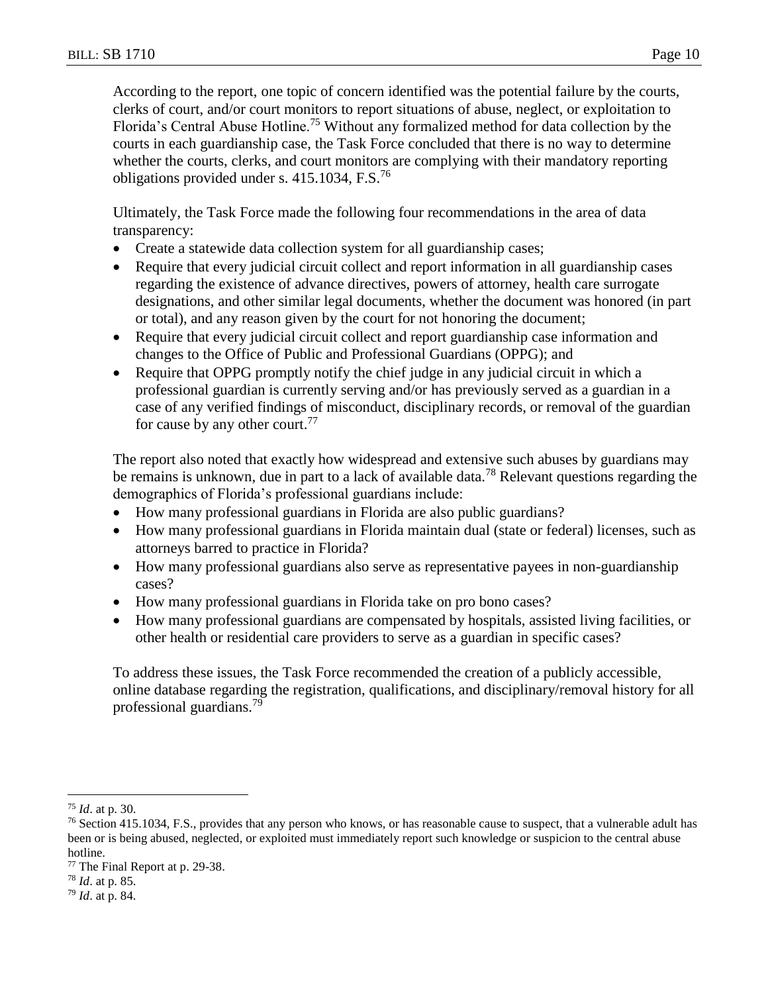According to the report, one topic of concern identified was the potential failure by the courts, clerks of court, and/or court monitors to report situations of abuse, neglect, or exploitation to Florida's Central Abuse Hotline.<sup>75</sup> Without any formalized method for data collection by the courts in each guardianship case, the Task Force concluded that there is no way to determine whether the courts, clerks, and court monitors are complying with their mandatory reporting obligations provided under s. 415.1034, F.S.<sup>76</sup>

Ultimately, the Task Force made the following four recommendations in the area of data transparency:

- Create a statewide data collection system for all guardianship cases;
- Require that every judicial circuit collect and report information in all guardianship cases regarding the existence of advance directives, powers of attorney, health care surrogate designations, and other similar legal documents, whether the document was honored (in part or total), and any reason given by the court for not honoring the document;
- Require that every judicial circuit collect and report guardianship case information and changes to the Office of Public and Professional Guardians (OPPG); and
- Require that OPPG promptly notify the chief judge in any judicial circuit in which a professional guardian is currently serving and/or has previously served as a guardian in a case of any verified findings of misconduct, disciplinary records, or removal of the guardian for cause by any other court.<sup>77</sup>

The report also noted that exactly how widespread and extensive such abuses by guardians may be remains is unknown, due in part to a lack of available data.<sup>78</sup> Relevant questions regarding the demographics of Florida's professional guardians include:

- How many professional guardians in Florida are also public guardians?
- How many professional guardians in Florida maintain dual (state or federal) licenses, such as attorneys barred to practice in Florida?
- How many professional guardians also serve as representative payees in non-guardianship cases?
- How many professional guardians in Florida take on pro bono cases?
- How many professional guardians are compensated by hospitals, assisted living facilities, or other health or residential care providers to serve as a guardian in specific cases?

To address these issues, the Task Force recommended the creation of a publicly accessible, online database regarding the registration, qualifications, and disciplinary/removal history for all professional guardians.<sup>79</sup>

 $\overline{a}$ <sup>75</sup> *Id*. at p. 30.

 $^{76}$  Section 415.1034, F.S., provides that any person who knows, or has reasonable cause to suspect, that a vulnerable adult has been or is being abused, neglected, or exploited must immediately report such knowledge or suspicion to the central abuse hotline.

<sup>77</sup> The Final Report at p. 29-38.

<sup>78</sup> *Id*. at p. 85.

<sup>79</sup> *Id*. at p. 84.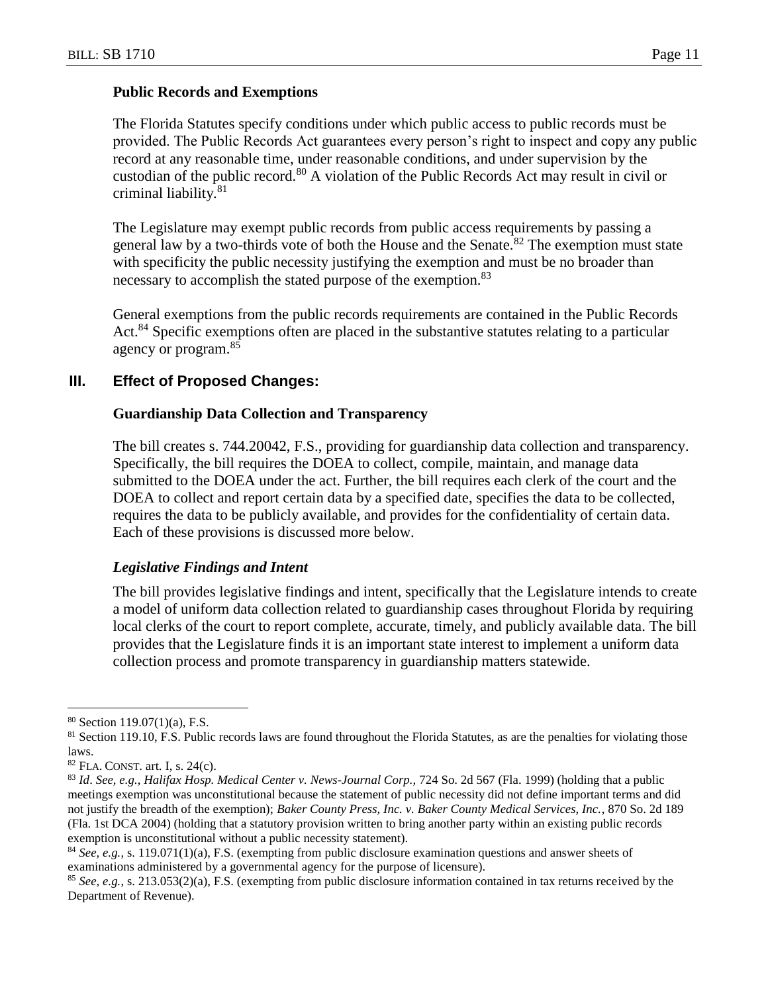#### **Public Records and Exemptions**

The Florida Statutes specify conditions under which public access to public records must be provided. The Public Records Act guarantees every person's right to inspect and copy any public record at any reasonable time, under reasonable conditions, and under supervision by the custodian of the public record.<sup>80</sup> A violation of the Public Records Act may result in civil or criminal liability.<sup>81</sup>

The Legislature may exempt public records from public access requirements by passing a general law by a two-thirds vote of both the House and the Senate.<sup>82</sup> The exemption must state with specificity the public necessity justifying the exemption and must be no broader than necessary to accomplish the stated purpose of the exemption.<sup>83</sup>

General exemptions from the public records requirements are contained in the Public Records Act.<sup>84</sup> Specific exemptions often are placed in the substantive statutes relating to a particular agency or program.<sup>85</sup>

#### **III. Effect of Proposed Changes:**

#### **Guardianship Data Collection and Transparency**

The bill creates s. 744.20042, F.S., providing for guardianship data collection and transparency. Specifically, the bill requires the DOEA to collect, compile, maintain, and manage data submitted to the DOEA under the act. Further, the bill requires each clerk of the court and the DOEA to collect and report certain data by a specified date, specifies the data to be collected, requires the data to be publicly available, and provides for the confidentiality of certain data. Each of these provisions is discussed more below.

#### *Legislative Findings and Intent*

The bill provides legislative findings and intent, specifically that the Legislature intends to create a model of uniform data collection related to guardianship cases throughout Florida by requiring local clerks of the court to report complete, accurate, timely, and publicly available data. The bill provides that the Legislature finds it is an important state interest to implement a uniform data collection process and promote transparency in guardianship matters statewide.

 $80$  Section 119.07(1)(a), F.S.

 $81$  Section 119.10, F.S. Public records laws are found throughout the Florida Statutes, as are the penalties for violating those laws.

<sup>82</sup> FLA. CONST. art. I, s. 24(c).

<sup>83</sup> *Id*. *See, e.g.*, *Halifax Hosp. Medical Center v. News-Journal Corp.,* 724 So. 2d 567 (Fla. 1999) (holding that a public meetings exemption was unconstitutional because the statement of public necessity did not define important terms and did not justify the breadth of the exemption); *Baker County Press, Inc. v. Baker County Medical Services, Inc.*, 870 So. 2d 189 (Fla. 1st DCA 2004) (holding that a statutory provision written to bring another party within an existing public records exemption is unconstitutional without a public necessity statement).

<sup>84</sup> *See, e.g.*, s. 119.071(1)(a), F.S. (exempting from public disclosure examination questions and answer sheets of examinations administered by a governmental agency for the purpose of licensure).

<sup>85</sup> *See, e.g.*, s. 213.053(2)(a), F.S. (exempting from public disclosure information contained in tax returns received by the Department of Revenue).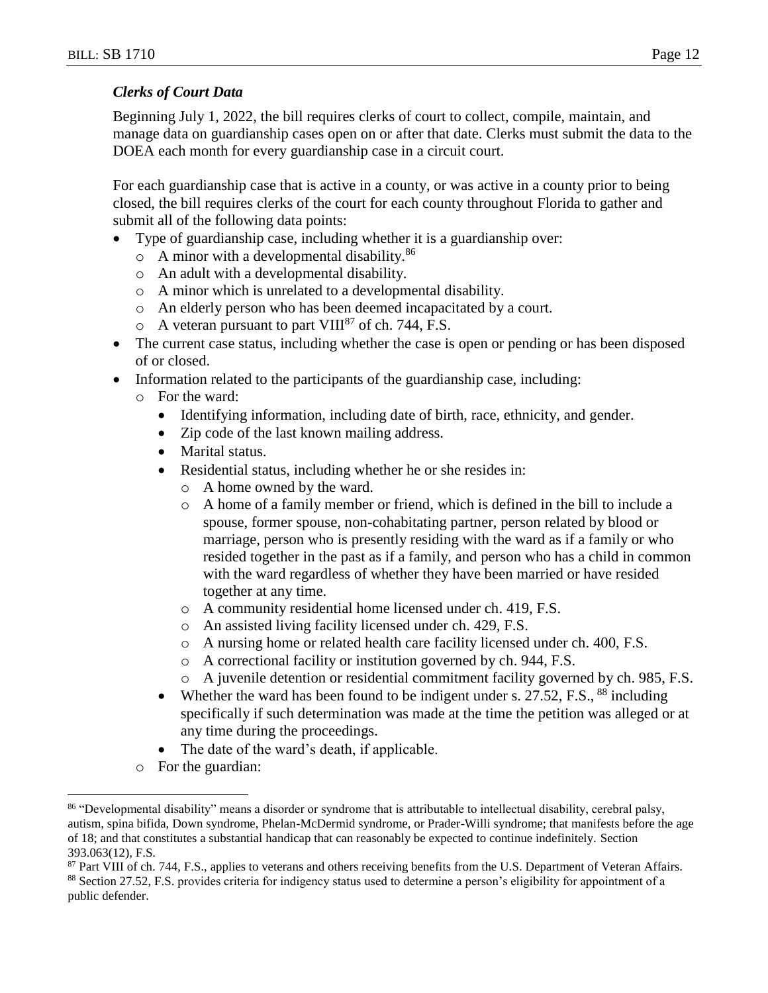## *Clerks of Court Data*

Beginning July 1, 2022, the bill requires clerks of court to collect, compile, maintain, and manage data on guardianship cases open on or after that date. Clerks must submit the data to the DOEA each month for every guardianship case in a circuit court.

For each guardianship case that is active in a county, or was active in a county prior to being closed, the bill requires clerks of the court for each county throughout Florida to gather and submit all of the following data points:

- Type of guardianship case, including whether it is a guardianship over:
	- $\circ$  A minor with a developmental disability.<sup>86</sup>
	- o An adult with a developmental disability.
	- o A minor which is unrelated to a developmental disability.
	- o An elderly person who has been deemed incapacitated by a court.
	- $\circ$  A veteran pursuant to part VIII<sup>87</sup> of ch. 744, F.S.
- The current case status, including whether the case is open or pending or has been disposed of or closed.
- Information related to the participants of the guardianship case, including:
	- o For the ward:
		- Identifying information, including date of birth, race, ethnicity, and gender.
		- Zip code of the last known mailing address.
		- Marital status.
		- Residential status, including whether he or she resides in:
			- o A home owned by the ward.
			- o A home of a family member or friend, which is defined in the bill to include a spouse, former spouse, non-cohabitating partner, person related by blood or marriage, person who is presently residing with the ward as if a family or who resided together in the past as if a family, and person who has a child in common with the ward regardless of whether they have been married or have resided together at any time.
			- o A community residential home licensed under ch. 419, F.S.
			- o An assisted living facility licensed under ch. 429, F.S.
			- o A nursing home or related health care facility licensed under ch. 400, F.S.
			- o A correctional facility or institution governed by ch. 944, F.S.
			- o A juvenile detention or residential commitment facility governed by ch. 985, F.S.
		- Whether the ward has been found to be indigent under s.  $27.52$ , F.S.,  $88$  including specifically if such determination was made at the time the petition was alleged or at any time during the proceedings.
		- The date of the ward's death, if applicable.
	- o For the guardian:

<sup>86</sup> "Developmental disability" means a disorder or syndrome that is attributable to intellectual disability, cerebral palsy, autism, spina bifida, Down syndrome, Phelan-McDermid syndrome, or Prader-Willi syndrome; that manifests before the age of 18; and that constitutes a substantial handicap that can reasonably be expected to continue indefinitely. Section 393.063(12), F.S.

<sup>&</sup>lt;sup>87</sup> Part VIII of ch. 744, F.S., applies to veterans and others receiving benefits from the U.S. Department of Veteran Affairs.

<sup>88</sup> Section 27.52, F.S. provides criteria for indigency status used to determine a person's eligibility for appointment of a public defender.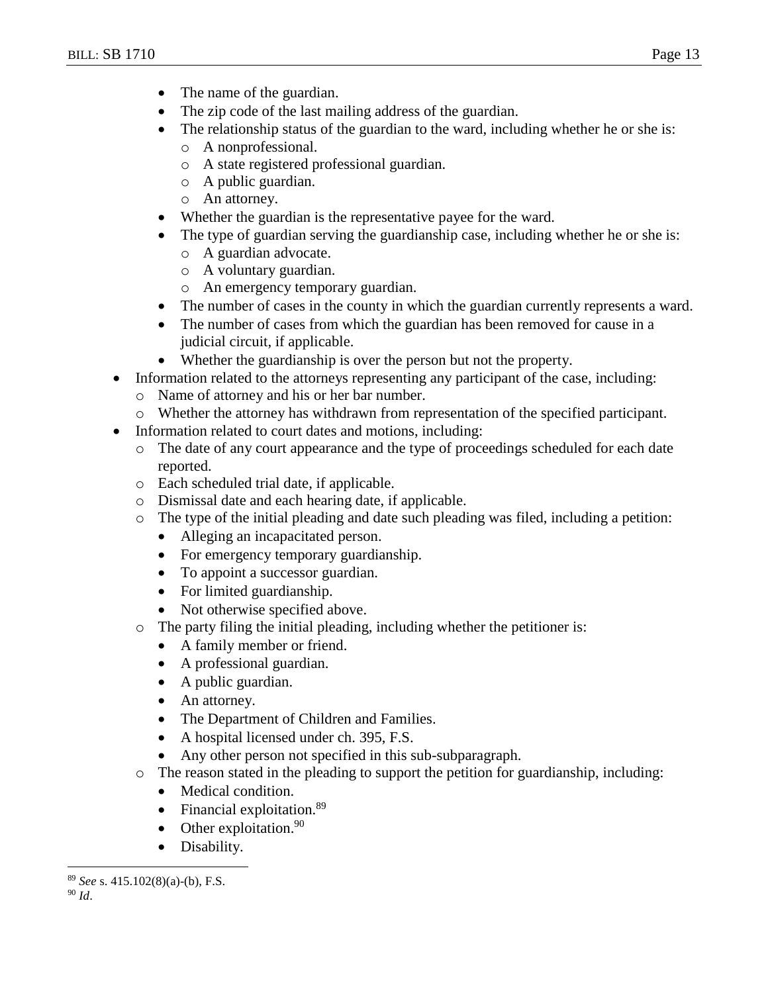- The name of the guardian.
- The zip code of the last mailing address of the guardian.
- The relationship status of the guardian to the ward, including whether he or she is:
	- o A nonprofessional.
	- o A state registered professional guardian.
	- o A public guardian.
	- o An attorney.
- Whether the guardian is the representative payee for the ward.
- The type of guardian serving the guardianship case, including whether he or she is:
	- o A guardian advocate.
	- o A voluntary guardian.
	- o An emergency temporary guardian.
- The number of cases in the county in which the guardian currently represents a ward.
- The number of cases from which the guardian has been removed for cause in a judicial circuit, if applicable.
- Whether the guardianship is over the person but not the property.
- Information related to the attorneys representing any participant of the case, including:
	- o Name of attorney and his or her bar number.
	- o Whether the attorney has withdrawn from representation of the specified participant.
- Information related to court dates and motions, including:
	- o The date of any court appearance and the type of proceedings scheduled for each date reported.
	- o Each scheduled trial date, if applicable.
	- o Dismissal date and each hearing date, if applicable.
	- $\circ$  The type of the initial pleading and date such pleading was filed, including a petition:
		- Alleging an incapacitated person.
		- For emergency temporary guardianship.
		- To appoint a successor guardian.
		- For limited guardianship.
		- Not otherwise specified above.
	- o The party filing the initial pleading, including whether the petitioner is:
		- A family member or friend.
		- A professional guardian.
		- A public guardian.
		- An attorney.
		- The Department of Children and Families.
		- A hospital licensed under ch. 395, F.S.
		- Any other person not specified in this sub-subparagraph.
	- o The reason stated in the pleading to support the petition for guardianship, including:
		- Medical condition.
		- Financial exploitation. $89$
		- Other exploitation. $90$
		- Disability.

<sup>89</sup> *See* s. 415.102(8)(a)-(b), F.S.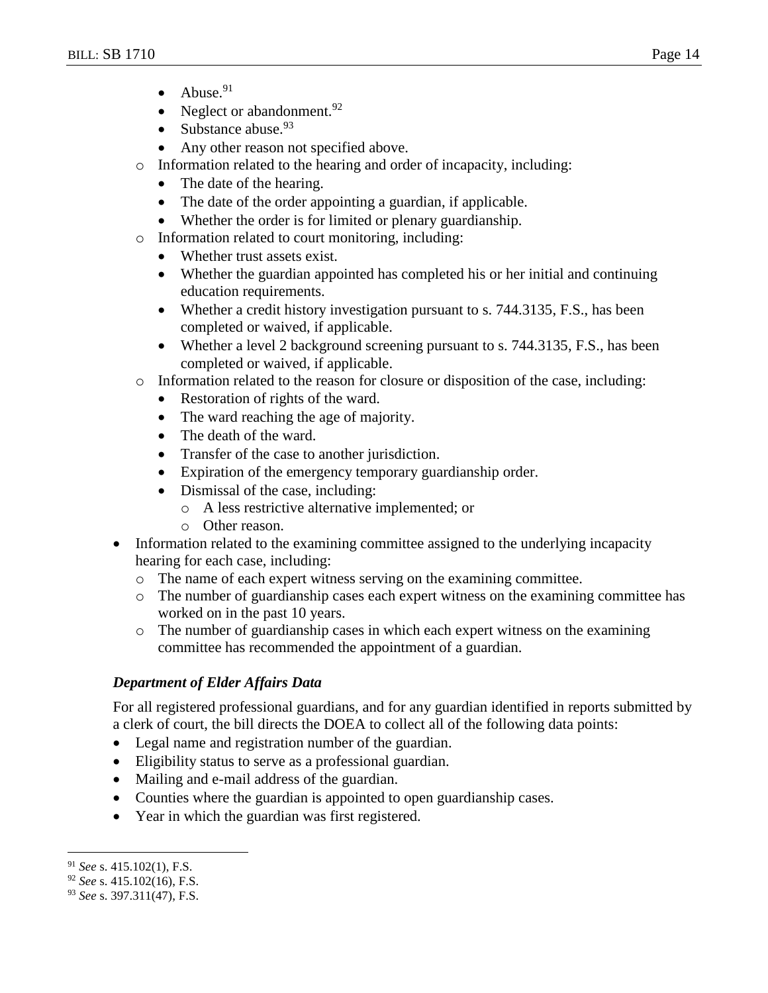- $\bullet$  Abuse.<sup>91</sup>
- Neglect or abandonment. $92$
- Substance abuse.  $93$
- Any other reason not specified above.
- o Information related to the hearing and order of incapacity, including:
	- The date of the hearing.
	- The date of the order appointing a guardian, if applicable.
	- Whether the order is for limited or plenary guardianship.
- o Information related to court monitoring, including:
	- Whether trust assets exist.
	- Whether the guardian appointed has completed his or her initial and continuing education requirements.
	- Whether a credit history investigation pursuant to s. 744.3135, F.S., has been completed or waived, if applicable.
	- Whether a level 2 background screening pursuant to s. 744.3135, F.S., has been completed or waived, if applicable.
- o Information related to the reason for closure or disposition of the case, including:
	- Restoration of rights of the ward.
	- The ward reaching the age of majority.
	- The death of the ward.
	- Transfer of the case to another jurisdiction.
	- Expiration of the emergency temporary guardianship order.
	- Dismissal of the case, including:
		- o A less restrictive alternative implemented; or
		- o Other reason.
- Information related to the examining committee assigned to the underlying incapacity hearing for each case, including:
	- o The name of each expert witness serving on the examining committee.
	- o The number of guardianship cases each expert witness on the examining committee has worked on in the past 10 years.
	- o The number of guardianship cases in which each expert witness on the examining committee has recommended the appointment of a guardian.

## *Department of Elder Affairs Data*

For all registered professional guardians, and for any guardian identified in reports submitted by a clerk of court, the bill directs the DOEA to collect all of the following data points:

- Legal name and registration number of the guardian.
- Eligibility status to serve as a professional guardian.
- Mailing and e-mail address of the guardian.
- Counties where the guardian is appointed to open guardianship cases.
- Year in which the guardian was first registered.

 $\overline{a}$ <sup>91</sup> *See* s. 415.102(1), F.S.

<sup>92</sup> *See* s. 415.102(16), F.S.

<sup>93</sup> *See* s. 397.311(47), F.S.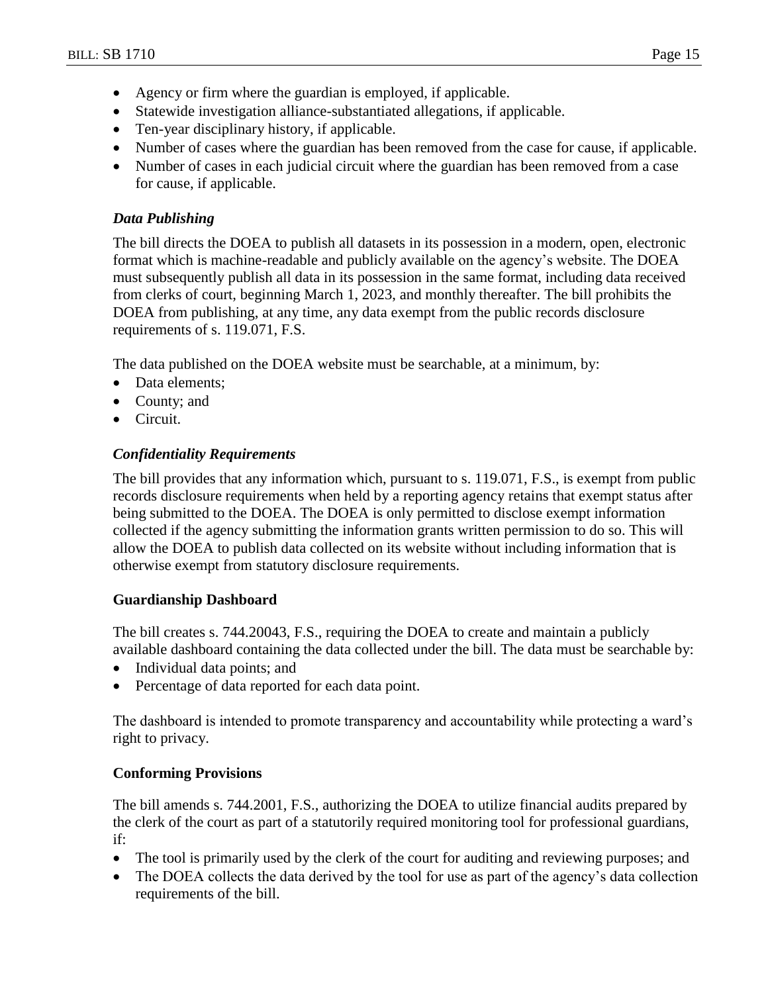- Agency or firm where the guardian is employed, if applicable.
- Statewide investigation alliance-substantiated allegations, if applicable.
- Ten-year disciplinary history, if applicable.
- Number of cases where the guardian has been removed from the case for cause, if applicable.
- Number of cases in each judicial circuit where the guardian has been removed from a case for cause, if applicable.

## *Data Publishing*

The bill directs the DOEA to publish all datasets in its possession in a modern, open, electronic format which is machine-readable and publicly available on the agency's website. The DOEA must subsequently publish all data in its possession in the same format, including data received from clerks of court, beginning March 1, 2023, and monthly thereafter. The bill prohibits the DOEA from publishing, at any time, any data exempt from the public records disclosure requirements of s. 119.071, F.S.

The data published on the DOEA website must be searchable, at a minimum, by:

- Data elements;
- County; and
- Circuit.

## *Confidentiality Requirements*

The bill provides that any information which, pursuant to s. 119.071, F.S., is exempt from public records disclosure requirements when held by a reporting agency retains that exempt status after being submitted to the DOEA. The DOEA is only permitted to disclose exempt information collected if the agency submitting the information grants written permission to do so. This will allow the DOEA to publish data collected on its website without including information that is otherwise exempt from statutory disclosure requirements.

## **Guardianship Dashboard**

The bill creates s. 744.20043, F.S., requiring the DOEA to create and maintain a publicly available dashboard containing the data collected under the bill. The data must be searchable by:

- Individual data points; and
- Percentage of data reported for each data point.

The dashboard is intended to promote transparency and accountability while protecting a ward's right to privacy.

## **Conforming Provisions**

The bill amends s. 744.2001, F.S., authorizing the DOEA to utilize financial audits prepared by the clerk of the court as part of a statutorily required monitoring tool for professional guardians, if:

- The tool is primarily used by the clerk of the court for auditing and reviewing purposes; and
- The DOEA collects the data derived by the tool for use as part of the agency's data collection requirements of the bill.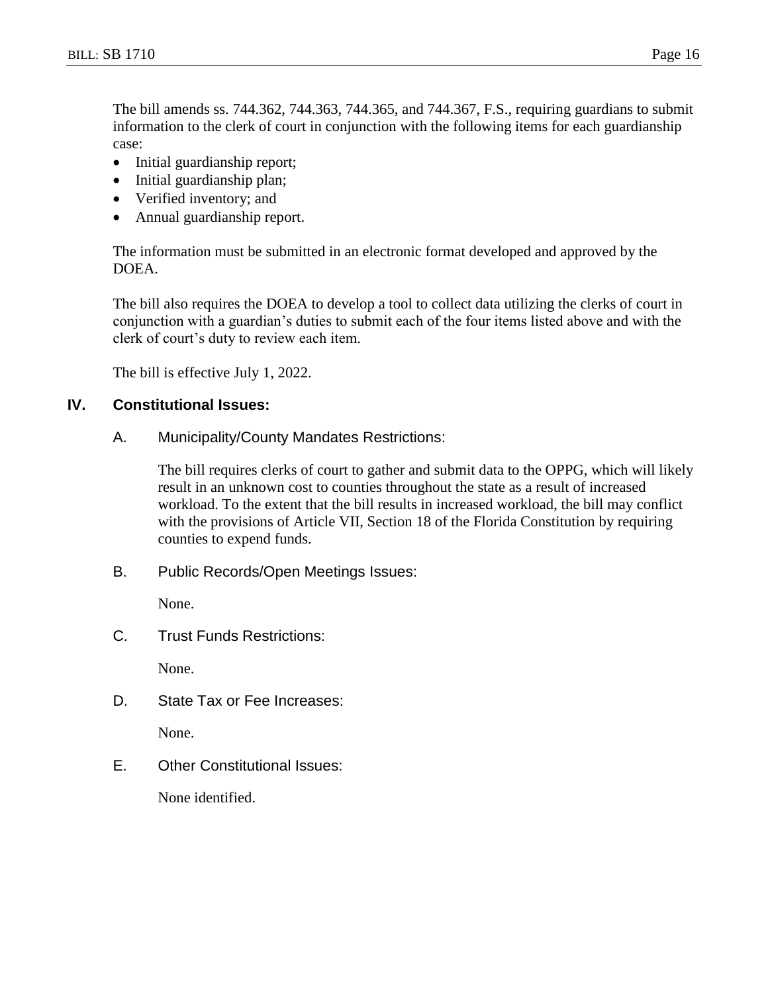The bill amends ss. 744.362, 744.363, 744.365, and 744.367, F.S., requiring guardians to submit information to the clerk of court in conjunction with the following items for each guardianship case:

- Initial guardianship report;
- Initial guardianship plan;
- Verified inventory; and
- Annual guardianship report.

The information must be submitted in an electronic format developed and approved by the DOEA.

The bill also requires the DOEA to develop a tool to collect data utilizing the clerks of court in conjunction with a guardian's duties to submit each of the four items listed above and with the clerk of court's duty to review each item.

The bill is effective July 1, 2022.

## **IV. Constitutional Issues:**

A. Municipality/County Mandates Restrictions:

The bill requires clerks of court to gather and submit data to the OPPG, which will likely result in an unknown cost to counties throughout the state as a result of increased workload. To the extent that the bill results in increased workload, the bill may conflict with the provisions of Article VII, Section 18 of the Florida Constitution by requiring counties to expend funds.

B. Public Records/Open Meetings Issues:

None.

C. Trust Funds Restrictions:

None.

D. State Tax or Fee Increases:

None.

E. Other Constitutional Issues:

None identified.